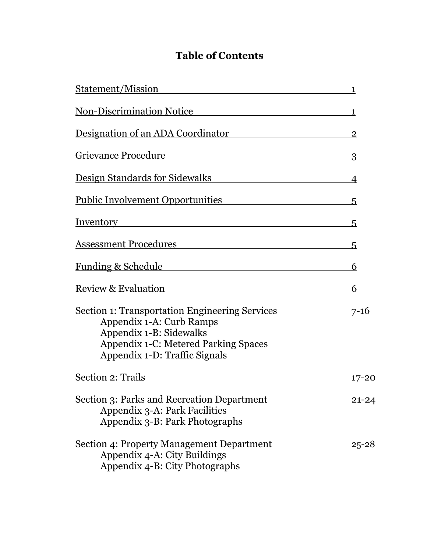## **Table of Contents**

| <u>Statement/Mission</u>                                                                                                                                                                                                             | 1              |
|--------------------------------------------------------------------------------------------------------------------------------------------------------------------------------------------------------------------------------------|----------------|
| <u>Non-Discrimination Notice</u>                                                                                                                                                                                                     | 1              |
| Designation of an ADA Coordinator                                                                                                                                                                                                    | $\overline{2}$ |
| <b>Grievance Procedure</b>                                                                                                                                                                                                           | $\overline{3}$ |
| Design Standards for Sidewalks                                                                                                                                                                                                       | 4              |
| <u>Public Involvement Opportunities</u>                                                                                                                                                                                              | 5              |
| <u>Inventory results and the set of the set of the set of the set of the set of the set of the set of the set of the set of the set of the set of the set of the set of the set of the set of the set of the set of the set of t</u> | 5.             |
|                                                                                                                                                                                                                                      | 5              |
| <u>Funding &amp; Schedule Funding &amp; Schedule</u>                                                                                                                                                                                 | 6              |
| Review & Evaluation                                                                                                                                                                                                                  | 6              |
| <b>Section 1: Transportation Engineering Services</b><br>Appendix 1-A: Curb Ramps<br>Appendix 1-B: Sidewalks<br><b>Appendix 1-C: Metered Parking Spaces</b><br>Appendix 1-D: Traffic Signals                                         | $7 - 16$       |
| Section 2: Trails                                                                                                                                                                                                                    | 17-20          |
| Section 3: Parks and Recreation Department<br>Appendix 3-A: Park Facilities<br>Appendix 3-B: Park Photographs                                                                                                                        | $21 - 24$      |
| Section 4: Property Management Department<br>Appendix 4-A: City Buildings<br>Appendix 4-B: City Photographs                                                                                                                          | $25 - 28$      |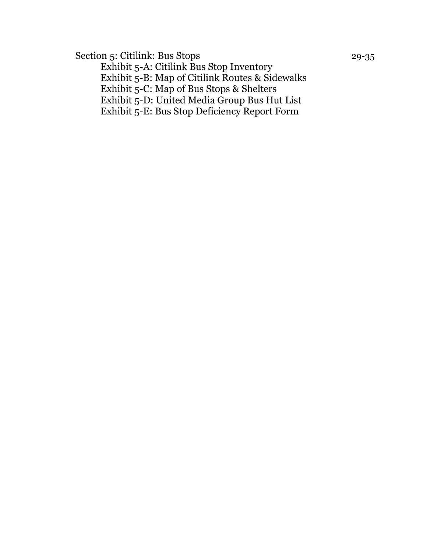Section 5: Citilink: Bus Stops 29-35

Exhibit 5-A: Citilink Bus Stop Inventory Exhibit 5-B: Map of Citilink Routes & Sidewalks Exhibit 5-C: Map of Bus Stops & Shelters Exhibit 5-D: United Media Group Bus Hut List Exhibit 5-E: Bus Stop Deficiency Report Form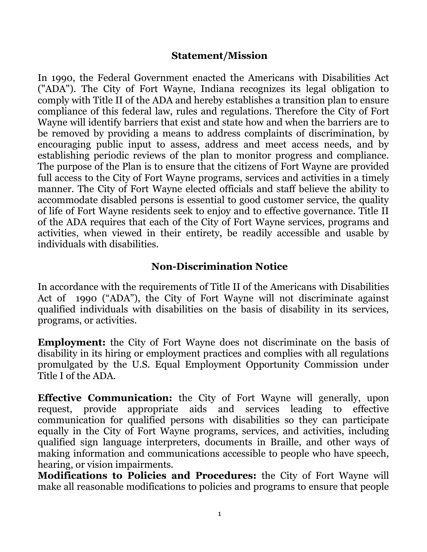#### **Statement/Mission**

In 1990, the Federal Government enacted the Americans with Disabilities Act ("ADA"). The City of Fort Wayne, Indiana recognizes its legal obligation to comply with Title II of the ADA and hereby establishes a transition plan to ensure compliance of this federal law, rules and regulations. Therefore the City of Fort Wayne will identify barriers that exist and state how and when the barriers are to be removed by providing a means to address complaints of discrimination, by encouraging public input to assess, address and meet access needs, and by establishing periodic reviews of the plan to monitor progress and compliance. The purpose of the Plan is to ensure that the citizens of Fort Wayne are provided full access to the City of Fort Wayne programs, services and activities in a timely manner. The City of Fort Wayne elected officials and staff believe the ability to accommodate disabled persons is essential to good customer service, the quality of life of Fort Wayne residents seek to enjoy and to effective governance. Title II of the ADA requires that each of the City of Fort Wayne services, programs and activities, when viewed in their entirety, be readily accessible and usable by individuals with disabilities.

#### **Non-Discrimination Notice**

In accordance with the requirements of Title II of the Americans with Disabilities Act of 1990 ("ADA"), the City of Fort Wayne will not discriminate against qualified individuals with disabilities on the basis of disability in its services, programs, or activities.

**Employment:** the City of Fort Wayne does not discriminate on the basis of disability in its hiring or employment practices and complies with all regulations promulgated by the U.S. Equal Employment Opportunity Commission under Title I of the ADA.

**Effective Communication:** the City of Fort Wayne will generally, upon request, provide appropriate aids and services leading to effective communication for qualified persons with disabilities so they can participate equally in the City of Fort Wayne programs, services, and activities, including qualified sign language interpreters, documents in Braille, and other ways of making information and communications accessible to people who have speech, hearing, or vision impairments.

**Modifications to Policies and Procedures:** the City of Fort Wayne will make all reasonable modifications to policies and programs to ensure that people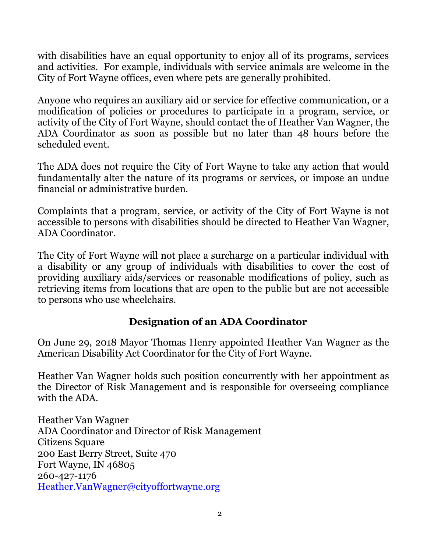with disabilities have an equal opportunity to enjoy all of its programs, services and activities. For example, individuals with service animals are welcome in the City of Fort Wayne offices, even where pets are generally prohibited.

Anyone who requires an auxiliary aid or service for effective communication, or a modification of policies or procedures to participate in a program, service, or activity of the City of Fort Wayne, should contact the of Heather Van Wagner, the ADA Coordinator as soon as possible but no later than 48 hours before the scheduled event.

The ADA does not require the City of Fort Wayne to take any action that would fundamentally alter the nature of its programs or services, or impose an undue financial or administrative burden.

Complaints that a program, service, or activity of the City of Fort Wayne is not accessible to persons with disabilities should be directed to Heather Van Wagner, ADA Coordinator.

The City of Fort Wayne will not place a surcharge on a particular individual with a disability or any group of individuals with disabilities to cover the cost of providing auxiliary aids/services or reasonable modifications of policy, such as retrieving items from locations that are open to the public but are not accessible to persons who use wheelchairs.

## **Designation of an ADA Coordinator**

On June 29, 2018 Mayor Thomas Henry appointed Heather Van Wagner as the American Disability Act Coordinator for the City of Fort Wayne.

Heather Van Wagner holds such position concurrently with her appointment as the Director of Risk Management and is responsible for overseeing compliance with the ADA.

Heather Van Wagner ADA Coordinator and Director of Risk Management Citizens Square 200 East Berry Street, Suite 470 Fort Wayne, IN 46805 260-427-1176 [Heather.VanWagner@cityoffortwayne.org](mailto:Heather.VanWagner@cityoffortwayne.org)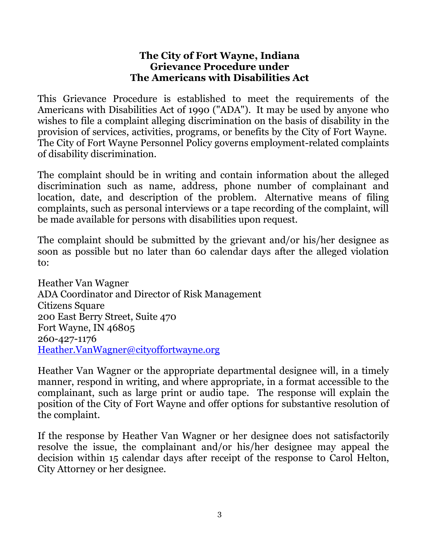#### **The City of Fort Wayne, Indiana Grievance Procedure under The Americans with Disabilities Act**

This Grievance Procedure is established to meet the requirements of the Americans with Disabilities Act of 1990 ("ADA"). It may be used by anyone who wishes to file a complaint alleging discrimination on the basis of disability in the provision of services, activities, programs, or benefits by the City of Fort Wayne. The City of Fort Wayne Personnel Policy governs employment-related complaints of disability discrimination.

The complaint should be in writing and contain information about the alleged discrimination such as name, address, phone number of complainant and location, date, and description of the problem. Alternative means of filing complaints, such as personal interviews or a tape recording of the complaint, will be made available for persons with disabilities upon request.

The complaint should be submitted by the grievant and/or his/her designee as soon as possible but no later than 60 calendar days after the alleged violation to:

Heather Van Wagner ADA Coordinator and Director of Risk Management Citizens Square 200 East Berry Street, Suite 470 Fort Wayne, IN 46805 260-427-1176 [Heather.VanWagner@cityoffortwayne.org](mailto:Heather.VanWagner@cityoffortwayne.org)

Heather Van Wagner or the appropriate departmental designee will, in a timely manner, respond in writing, and where appropriate, in a format accessible to the complainant, such as large print or audio tape. The response will explain the position of the City of Fort Wayne and offer options for substantive resolution of the complaint.

If the response by Heather Van Wagner or her designee does not satisfactorily resolve the issue, the complainant and/or his/her designee may appeal the decision within 15 calendar days after receipt of the response to Carol Helton, City Attorney or her designee.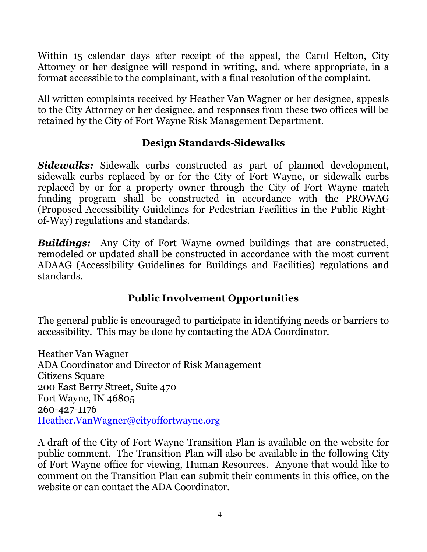Within 15 calendar days after receipt of the appeal, the Carol Helton, City Attorney or her designee will respond in writing, and, where appropriate, in a format accessible to the complainant, with a final resolution of the complaint.

All written complaints received by Heather Van Wagner or her designee, appeals to the City Attorney or her designee, and responses from these two offices will be retained by the City of Fort Wayne Risk Management Department.

## **Design Standards-Sidewalks**

*Sidewalks:* Sidewalk curbs constructed as part of planned development, sidewalk curbs replaced by or for the City of Fort Wayne, or sidewalk curbs replaced by or for a property owner through the City of Fort Wayne match funding program shall be constructed in accordance with the PROWAG (Proposed Accessibility Guidelines for Pedestrian Facilities in the Public Rightof-Way) regulations and standards.

*Buildings:* Any City of Fort Wayne owned buildings that are constructed, remodeled or updated shall be constructed in accordance with the most current ADAAG (Accessibility Guidelines for Buildings and Facilities) regulations and standards.

## **Public Involvement Opportunities**

The general public is encouraged to participate in identifying needs or barriers to accessibility. This may be done by contacting the ADA Coordinator.

Heather Van Wagner ADA Coordinator and Director of Risk Management Citizens Square 200 East Berry Street, Suite 470 Fort Wayne, IN 46805 260-427-1176 [Heather.VanWagner@cityoffortwayne.org](mailto:Heather.VanWagner@cityoffortwayne.org)

A draft of the City of Fort Wayne Transition Plan is available on the website for public comment. The Transition Plan will also be available in the following City of Fort Wayne office for viewing, Human Resources. Anyone that would like to comment on the Transition Plan can submit their comments in this office, on the website or can contact the ADA Coordinator.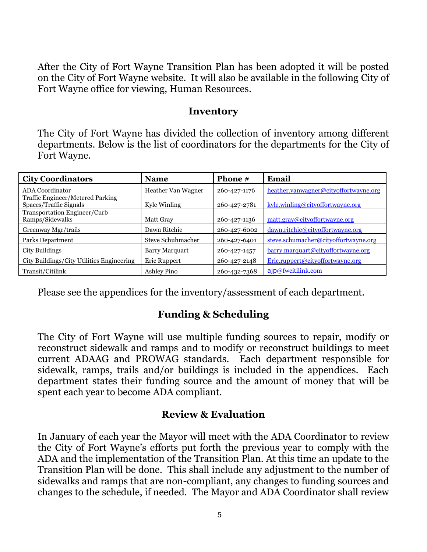After the City of Fort Wayne Transition Plan has been adopted it will be posted on the City of Fort Wayne website. It will also be available in the following City of Fort Wayne office for viewing, Human Resources.

#### **Inventory**

The City of Fort Wayne has divided the collection of inventory among different departments. Below is the list of coordinators for the departments for the City of Fort Wayne.

| <b>City Coordinators</b>                                   | <b>Name</b>           | Phone #      | Email                                 |
|------------------------------------------------------------|-----------------------|--------------|---------------------------------------|
| <b>ADA</b> Coordinator                                     | Heather Van Wagner    | 260-427-1176 | heather.vanwagner@cityoffortwayne.org |
| Traffic Engineer/Metered Parking<br>Spaces/Traffic Signals | Kyle Winling          | 260-427-2781 | kyle.winling@cityoffortwayne.org      |
| Transportation Engineer/Curb<br>Ramps/Sidewalks            | Matt Gray             | 260-427-1136 | matt.gray@cityoffortwayne.org         |
| Greenway Mgr/trails                                        | Dawn Ritchie          | 260-427-6002 | dawn.ritchie@cityoffortwayne.org      |
| Parks Department                                           | Steve Schuhmacher     | 260-427-6401 | steve.schumacher@cityoffortwayne.org  |
| City Buildings                                             | <b>Barry Marquart</b> | 260-427-1457 | barry.marquart@cityoffortwayne.org    |
| City Buildings/City Utilities Engineering                  | Eric Ruppert          | 260-427-2148 | Eric.ruppert@cityoffortwayne.org      |
| Transit/Citilink                                           | Ashley Pino           | 260-432-7368 | ajp@fwcitilink.com                    |

Please see the appendices for the inventory/assessment of each department.

## **Funding & Scheduling**

The City of Fort Wayne will use multiple funding sources to repair, modify or reconstruct sidewalk and ramps and to modify or reconstruct buildings to meet current ADAAG and PROWAG standards. Each department responsible for sidewalk, ramps, trails and/or buildings is included in the appendices. Each department states their funding source and the amount of money that will be spent each year to become ADA compliant.

#### **Review & Evaluation**

In January of each year the Mayor will meet with the ADA Coordinator to review the City of Fort Wayne's efforts put forth the previous year to comply with the ADA and the implementation of the Transition Plan. At this time an update to the Transition Plan will be done. This shall include any adjustment to the number of sidewalks and ramps that are non-compliant, any changes to funding sources and changes to the schedule, if needed. The Mayor and ADA Coordinator shall review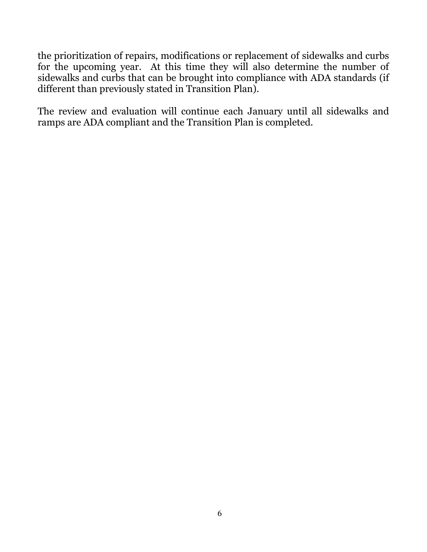the prioritization of repairs, modifications or replacement of sidewalks and curbs for the upcoming year. At this time they will also determine the number of sidewalks and curbs that can be brought into compliance with ADA standards (if different than previously stated in Transition Plan).

The review and evaluation will continue each January until all sidewalks and ramps are ADA compliant and the Transition Plan is completed.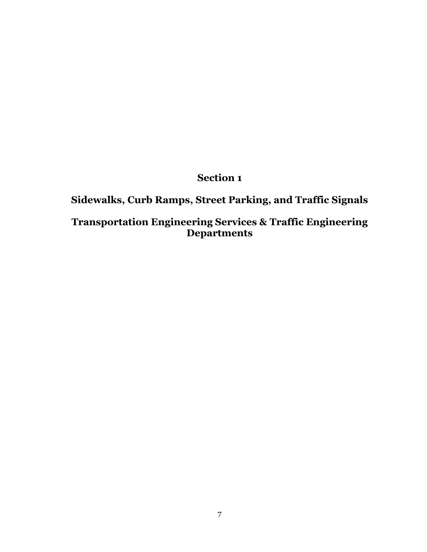## **Section 1**

## **Sidewalks, Curb Ramps, Street Parking, and Traffic Signals**

### **Transportation Engineering Services & Traffic Engineering Departments**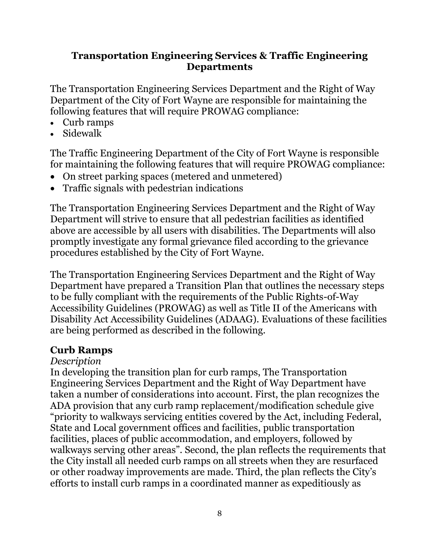#### **Transportation Engineering Services & Traffic Engineering Departments**

The Transportation Engineering Services Department and the Right of Way Department of the City of Fort Wayne are responsible for maintaining the following features that will require PROWAG compliance:

- Curb ramps
- Sidewalk

The Traffic Engineering Department of the City of Fort Wayne is responsible for maintaining the following features that will require PROWAG compliance:

- On street parking spaces (metered and unmetered)
- Traffic signals with pedestrian indications

The Transportation Engineering Services Department and the Right of Way Department will strive to ensure that all pedestrian facilities as identified above are accessible by all users with disabilities. The Departments will also promptly investigate any formal grievance filed according to the grievance procedures established by the City of Fort Wayne.

The Transportation Engineering Services Department and the Right of Way Department have prepared a Transition Plan that outlines the necessary steps to be fully compliant with the requirements of the Public Rights-of-Way Accessibility Guidelines (PROWAG) as well as Title II of the Americans with Disability Act Accessibility Guidelines (ADAAG). Evaluations of these facilities are being performed as described in the following.

### **Curb Ramps**

#### *Description*

In developing the transition plan for curb ramps, The Transportation Engineering Services Department and the Right of Way Department have taken a number of considerations into account. First, the plan recognizes the ADA provision that any curb ramp replacement/modification schedule give "priority to walkways servicing entities covered by the Act, including Federal, State and Local government offices and facilities, public transportation facilities, places of public accommodation, and employers, followed by walkways serving other areas". Second, the plan reflects the requirements that the City install all needed curb ramps on all streets when they are resurfaced or other roadway improvements are made. Third, the plan reflects the City's efforts to install curb ramps in a coordinated manner as expeditiously as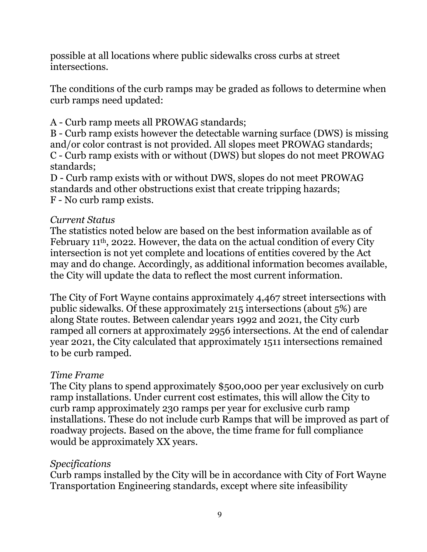possible at all locations where public sidewalks cross curbs at street intersections.

The conditions of the curb ramps may be graded as follows to determine when curb ramps need updated:

A - Curb ramp meets all PROWAG standards;

B - Curb ramp exists however the detectable warning surface (DWS) is missing and/or color contrast is not provided. All slopes meet PROWAG standards; C - Curb ramp exists with or without (DWS) but slopes do not meet PROWAG standards;

D - Curb ramp exists with or without DWS, slopes do not meet PROWAG standards and other obstructions exist that create tripping hazards; F - No curb ramp exists.

### *Current Status*

The statistics noted below are based on the best information available as of February 11th, 2022. However, the data on the actual condition of every City intersection is not yet complete and locations of entities covered by the Act may and do change. Accordingly, as additional information becomes available, the City will update the data to reflect the most current information.

The City of Fort Wayne contains approximately 4,467 street intersections with public sidewalks. Of these approximately 215 intersections (about 5%) are along State routes. Between calendar years 1992 and 2021, the City curb ramped all corners at approximately 2956 intersections. At the end of calendar year 2021, the City calculated that approximately 1511 intersections remained to be curb ramped.

### *Time Frame*

The City plans to spend approximately \$500,000 per year exclusively on curb ramp installations. Under current cost estimates, this will allow the City to curb ramp approximately 230 ramps per year for exclusive curb ramp installations. These do not include curb Ramps that will be improved as part of roadway projects. Based on the above, the time frame for full compliance would be approximately XX years.

### *Specifications*

Curb ramps installed by the City will be in accordance with City of Fort Wayne Transportation Engineering standards, except where site infeasibility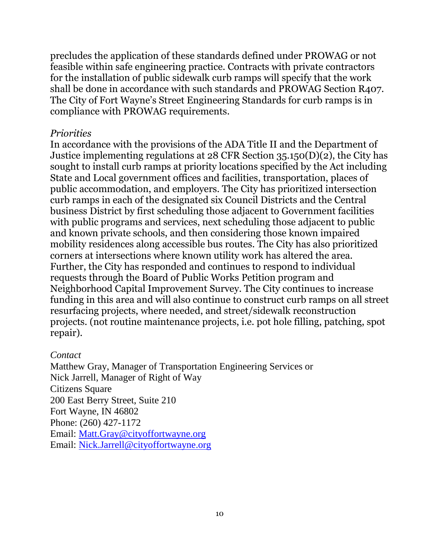precludes the application of these standards defined under PROWAG or not feasible within safe engineering practice. Contracts with private contractors for the installation of public sidewalk curb ramps will specify that the work shall be done in accordance with such standards and PROWAG Section R407. The City of Fort Wayne's Street Engineering Standards for curb ramps is in compliance with PROWAG requirements.

#### *Priorities*

In accordance with the provisions of the ADA Title II and the Department of Justice implementing regulations at 28 CFR Section 35.150(D)(2), the City has sought to install curb ramps at priority locations specified by the Act including State and Local government offices and facilities, transportation, places of public accommodation, and employers. The City has prioritized intersection curb ramps in each of the designated six Council Districts and the Central business District by first scheduling those adjacent to Government facilities with public programs and services, next scheduling those adjacent to public and known private schools, and then considering those known impaired mobility residences along accessible bus routes. The City has also prioritized corners at intersections where known utility work has altered the area. Further, the City has responded and continues to respond to individual requests through the Board of Public Works Petition program and Neighborhood Capital Improvement Survey. The City continues to increase funding in this area and will also continue to construct curb ramps on all street resurfacing projects, where needed, and street/sidewalk reconstruction projects. (not routine maintenance projects, i.e. pot hole filling, patching, spot repair).

#### *Contact*

Matthew Gray, Manager of Transportation Engineering Services or Nick Jarrell, Manager of Right of Way Citizens Square 200 East Berry Street, Suite 210 Fort Wayne, IN 46802 Phone: (260) 427-1172 Email: [Matt.Gray@cityoffortwayne.org](mailto:Matt.Gray@cityoffortwayne.org) Email: [Nick.Jarrell@cityoffortwayne.org](mailto:Nick.Jarrell@cityoffortwayne.org)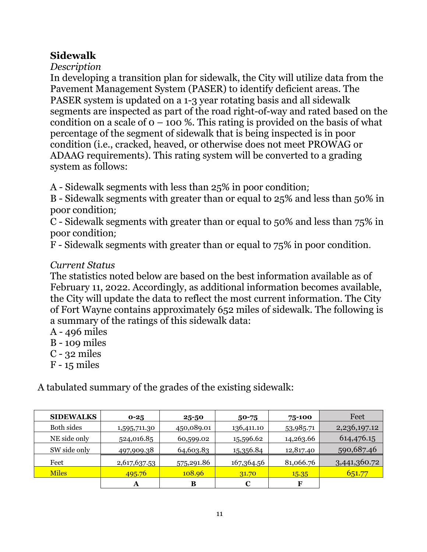## **Sidewalk**

*Description*

In developing a transition plan for sidewalk, the City will utilize data from the Pavement Management System (PASER) to identify deficient areas. The PASER system is updated on a 1-3 year rotating basis and all sidewalk segments are inspected as part of the road right-of-way and rated based on the condition on a scale of  $o - 100$  %. This rating is provided on the basis of what percentage of the segment of sidewalk that is being inspected is in poor condition (i.e., cracked, heaved, or otherwise does not meet PROWAG or ADAAG requirements). This rating system will be converted to a grading system as follows:

A - Sidewalk segments with less than 25% in poor condition;

B - Sidewalk segments with greater than or equal to 25% and less than 50% in poor condition;

C - Sidewalk segments with greater than or equal to 50% and less than 75% in poor condition;

F - Sidewalk segments with greater than or equal to 75% in poor condition.

## *Current Status*

The statistics noted below are based on the best information available as of February 11, 2022. Accordingly, as additional information becomes available, the City will update the data to reflect the most current information. The City of Fort Wayne contains approximately 652 miles of sidewalk. The following is a summary of the ratings of this sidewalk data:

- A 496 miles
- B 109 miles
- C 32 miles
- F 15 miles

A tabulated summary of the grades of the existing sidewalk:

| <b>SIDEWALKS</b> | $0 - 25$     | $25 - 50$  | $50 - 75$  | 75-100    | Feet         |
|------------------|--------------|------------|------------|-----------|--------------|
| Both sides       | 1,595,711.30 | 450,089.01 | 136,411.10 | 53,985.71 | 2,236,197.12 |
| NE side only     | 524,016.85   | 60,599.02  | 15,596.62  | 14,263.66 | 614,476.15   |
| SW side only     | 497,909.38   | 64,603.83  | 15,356.84  | 12,817.40 | 590,687.46   |
| Feet             | 2,617,637.53 | 575,291.86 | 167,364.56 | 81,066.76 | 3,441,360.72 |
| <b>Miles</b>     | 495.76       | 108.96     | 31.70      | 15.35     | 651.77       |
|                  | A            | B          | C          | F         |              |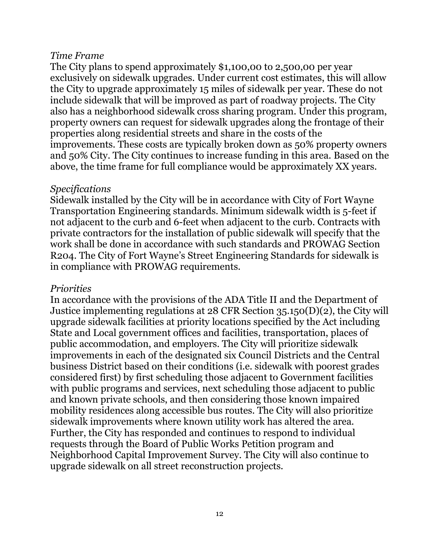#### *Time Frame*

The City plans to spend approximately \$1,100,00 to 2,500,00 per year exclusively on sidewalk upgrades. Under current cost estimates, this will allow the City to upgrade approximately 15 miles of sidewalk per year. These do not include sidewalk that will be improved as part of roadway projects. The City also has a neighborhood sidewalk cross sharing program. Under this program, property owners can request for sidewalk upgrades along the frontage of their properties along residential streets and share in the costs of the improvements. These costs are typically broken down as 50% property owners and 50% City. The City continues to increase funding in this area. Based on the above, the time frame for full compliance would be approximately XX years.

#### *Specifications*

Sidewalk installed by the City will be in accordance with City of Fort Wayne Transportation Engineering standards. Minimum sidewalk width is 5-feet if not adjacent to the curb and 6-feet when adjacent to the curb. Contracts with private contractors for the installation of public sidewalk will specify that the work shall be done in accordance with such standards and PROWAG Section R204. The City of Fort Wayne's Street Engineering Standards for sidewalk is in compliance with PROWAG requirements.

#### *Priorities*

In accordance with the provisions of the ADA Title II and the Department of Justice implementing regulations at 28 CFR Section 35.150(D)(2), the City will upgrade sidewalk facilities at priority locations specified by the Act including State and Local government offices and facilities, transportation, places of public accommodation, and employers. The City will prioritize sidewalk improvements in each of the designated six Council Districts and the Central business District based on their conditions (i.e. sidewalk with poorest grades considered first) by first scheduling those adjacent to Government facilities with public programs and services, next scheduling those adjacent to public and known private schools, and then considering those known impaired mobility residences along accessible bus routes. The City will also prioritize sidewalk improvements where known utility work has altered the area. Further, the City has responded and continues to respond to individual requests through the Board of Public Works Petition program and Neighborhood Capital Improvement Survey. The City will also continue to upgrade sidewalk on all street reconstruction projects.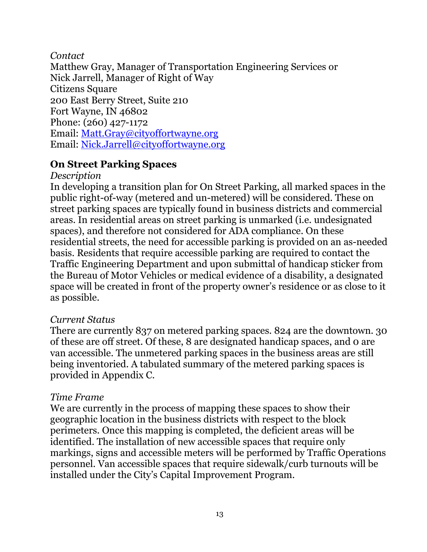#### *Contact*

Matthew Gray, Manager of Transportation Engineering Services or Nick Jarrell, Manager of Right of Way Citizens Square 200 East Berry Street, Suite 210 Fort Wayne, IN 46802 Phone: (260) 427-1172 Email: [Matt.Gray@cityoffortwayne.org](mailto:Matt.Gray@cityoffortwayne.org) Email: [Nick.Jarrell@cityoffortwayne.org](mailto:Nick.Jarrell@cityoffortwayne.org)

## **On Street Parking Spaces**

#### *Description*

In developing a transition plan for On Street Parking, all marked spaces in the public right-of-way (metered and un-metered) will be considered. These on street parking spaces are typically found in business districts and commercial areas. In residential areas on street parking is unmarked (i.e. undesignated spaces), and therefore not considered for ADA compliance. On these residential streets, the need for accessible parking is provided on an as-needed basis. Residents that require accessible parking are required to contact the Traffic Engineering Department and upon submittal of handicap sticker from the Bureau of Motor Vehicles or medical evidence of a disability, a designated space will be created in front of the property owner's residence or as close to it as possible.

### *Current Status*

There are currently 837 on metered parking spaces. 824 are the downtown. 30 of these are off street. Of these, 8 are designated handicap spaces, and 0 are van accessible. The unmetered parking spaces in the business areas are still being inventoried. A tabulated summary of the metered parking spaces is provided in Appendix C.

### *Time Frame*

We are currently in the process of mapping these spaces to show their geographic location in the business districts with respect to the block perimeters. Once this mapping is completed, the deficient areas will be identified. The installation of new accessible spaces that require only markings, signs and accessible meters will be performed by Traffic Operations personnel. Van accessible spaces that require sidewalk/curb turnouts will be installed under the City's Capital Improvement Program.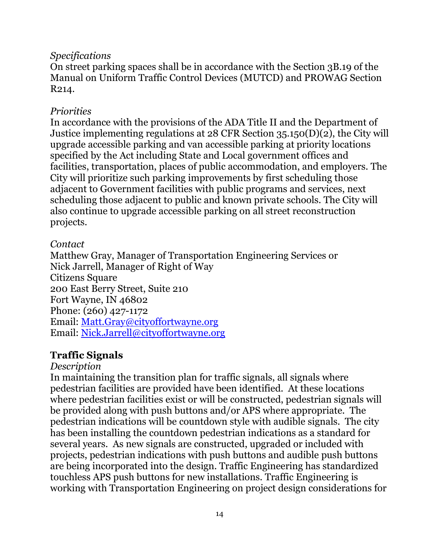#### *Specifications*

On street parking spaces shall be in accordance with the Section 3B.19 of the Manual on Uniform Traffic Control Devices (MUTCD) and PROWAG Section R214.

## *Priorities*

In accordance with the provisions of the ADA Title II and the Department of Justice implementing regulations at 28 CFR Section 35.150(D)(2), the City will upgrade accessible parking and van accessible parking at priority locations specified by the Act including State and Local government offices and facilities, transportation, places of public accommodation, and employers. The City will prioritize such parking improvements by first scheduling those adjacent to Government facilities with public programs and services, next scheduling those adjacent to public and known private schools. The City will also continue to upgrade accessible parking on all street reconstruction projects.

### *Contact*

Matthew Gray, Manager of Transportation Engineering Services or Nick Jarrell, Manager of Right of Way Citizens Square 200 East Berry Street, Suite 210 Fort Wayne, IN 46802 Phone: (260) 427-1172 Email: [Matt.Gray@cityoffortwayne.org](mailto:Matt.Gray@cityoffortwayne.org) Email: [Nick.Jarrell@cityoffortwayne.org](mailto:Nick.Jarrell@cityoffortwayne.org)

## **Traffic Signals**

#### *Description*

In maintaining the transition plan for traffic signals, all signals where pedestrian facilities are provided have been identified. At these locations where pedestrian facilities exist or will be constructed, pedestrian signals will be provided along with push buttons and/or APS where appropriate. The pedestrian indications will be countdown style with audible signals. The city has been installing the countdown pedestrian indications as a standard for several years. As new signals are constructed, upgraded or included with projects, pedestrian indications with push buttons and audible push buttons are being incorporated into the design. Traffic Engineering has standardized touchless APS push buttons for new installations. Traffic Engineering is working with Transportation Engineering on project design considerations for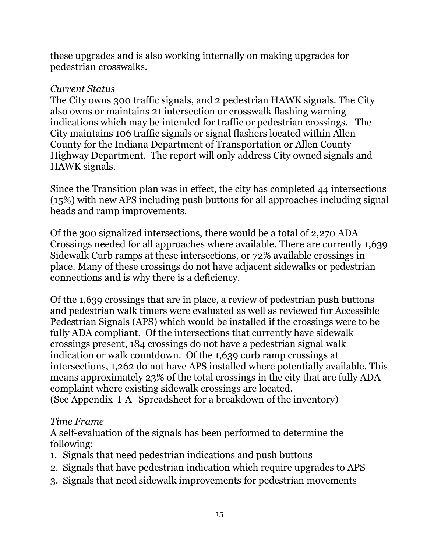these upgrades and is also working internally on making upgrades for pedestrian crosswalks.

#### *Current Status*

The City owns 300 traffic signals, and 2 pedestrian HAWK signals. The City also owns or maintains 21 intersection or crosswalk flashing warning indications which may be intended for traffic or pedestrian crossings. The City maintains 106 traffic signals or signal flashers located within Allen County for the Indiana Department of Transportation or Allen County Highway Department. The report will only address City owned signals and HAWK signals.

Since the Transition plan was in effect, the city has completed 44 intersections (15%) with new APS including push buttons for all approaches including signal heads and ramp improvements.

Of the 300 signalized intersections, there would be a total of 2,270 ADA Crossings needed for all approaches where available. There are currently 1,639 Sidewalk Curb ramps at these intersections, or 72% available crossings in place. Many of these crossings do not have adjacent sidewalks or pedestrian connections and is why there is a deficiency.

Of the 1,639 crossings that are in place, a review of pedestrian push buttons and pedestrian walk timers were evaluated as well as reviewed for Accessible Pedestrian Signals (APS) which would be installed if the crossings were to be fully ADA compliant. Of the intersections that currently have sidewalk crossings present, 184 crossings do not have a pedestrian signal walk indication or walk countdown. Of the 1,639 curb ramp crossings at intersections, 1,262 do not have APS installed where potentially available. This means approximately 23% of the total crossings in the city that are fully ADA complaint where existing sidewalk crossings are located. (See Appendix I-A Spreadsheet for a breakdown of the inventory)

### *Time Frame*

A self-evaluation of the signals has been performed to determine the following:

- 1. Signals that need pedestrian indications and push buttons
- 2. Signals that have pedestrian indication which require upgrades to APS
- 3. Signals that need sidewalk improvements for pedestrian movements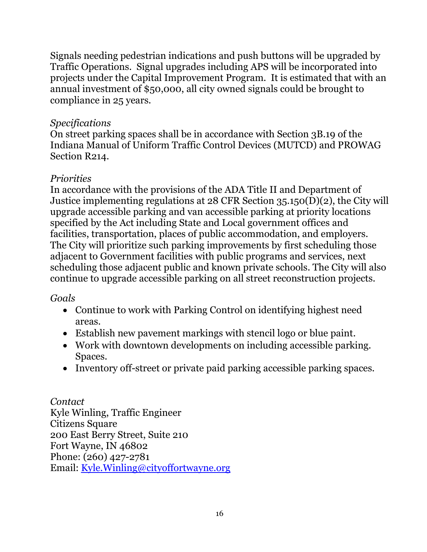Signals needing pedestrian indications and push buttons will be upgraded by Traffic Operations. Signal upgrades including APS will be incorporated into projects under the Capital Improvement Program. It is estimated that with an annual investment of \$50,000, all city owned signals could be brought to compliance in 25 years.

#### *Specifications*

On street parking spaces shall be in accordance with Section 3B.19 of the Indiana Manual of Uniform Traffic Control Devices (MUTCD) and PROWAG Section R214.

#### *Priorities*

In accordance with the provisions of the ADA Title II and Department of Justice implementing regulations at 28 CFR Section 35.150(D)(2), the City will upgrade accessible parking and van accessible parking at priority locations specified by the Act including State and Local government offices and facilities, transportation, places of public accommodation, and employers. The City will prioritize such parking improvements by first scheduling those adjacent to Government facilities with public programs and services, next scheduling those adjacent public and known private schools. The City will also continue to upgrade accessible parking on all street reconstruction projects.

### *Goals*

- Continue to work with Parking Control on identifying highest need areas.
- Establish new pavement markings with stencil logo or blue paint.
- Work with downtown developments on including accessible parking. Spaces.
- Inventory off-street or private paid parking accessible parking spaces.

*Contact* Kyle Winling, Traffic Engineer Citizens Square 200 East Berry Street, Suite 210 Fort Wayne, IN 46802 Phone: (260) 427-2781 Email: [Kyle.Winling@cityoffortwayne.org](mailto:Kyle.Winling@cityoffortwayne.org)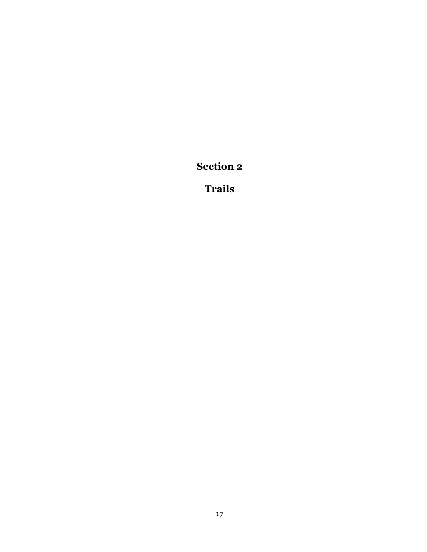**Section 2**

**Trails**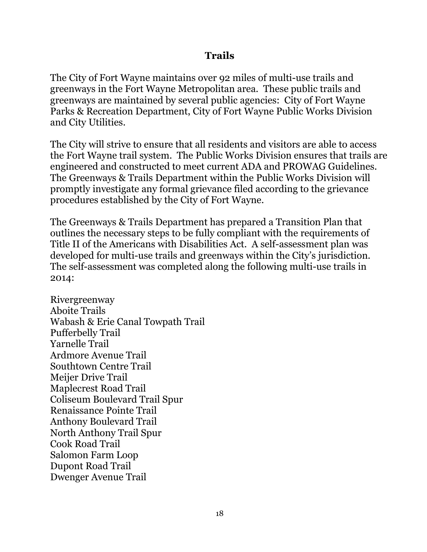#### **Trails**

The City of Fort Wayne maintains over 92 miles of multi-use trails and greenways in the Fort Wayne Metropolitan area. These public trails and greenways are maintained by several public agencies: City of Fort Wayne Parks & Recreation Department, City of Fort Wayne Public Works Division and City Utilities.

The City will strive to ensure that all residents and visitors are able to access the Fort Wayne trail system. The Public Works Division ensures that trails are engineered and constructed to meet current ADA and PROWAG Guidelines. The Greenways & Trails Department within the Public Works Division will promptly investigate any formal grievance filed according to the grievance procedures established by the City of Fort Wayne.

The Greenways & Trails Department has prepared a Transition Plan that outlines the necessary steps to be fully compliant with the requirements of Title II of the Americans with Disabilities Act. A self-assessment plan was developed for multi-use trails and greenways within the City's jurisdiction. The self-assessment was completed along the following multi-use trails in 2014:

Rivergreenway Aboite Trails Wabash & Erie Canal Towpath Trail Pufferbelly Trail Yarnelle Trail Ardmore Avenue Trail Southtown Centre Trail Meijer Drive Trail Maplecrest Road Trail Coliseum Boulevard Trail Spur Renaissance Pointe Trail Anthony Boulevard Trail North Anthony Trail Spur Cook Road Trail Salomon Farm Loop Dupont Road Trail Dwenger Avenue Trail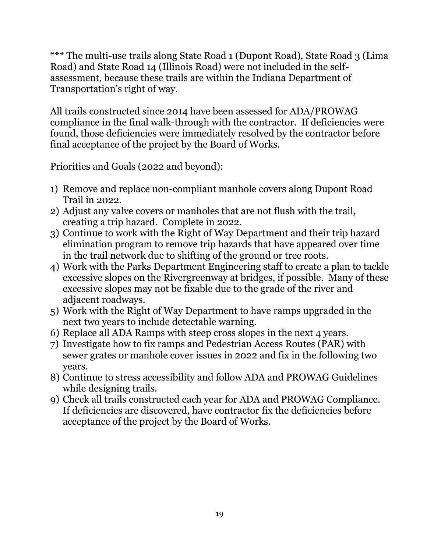\*\*\* The multi-use trails along State Road 1 (Dupont Road), State Road 3 (Lima Road) and State Road 14 (Illinois Road) were not included in the selfassessment, because these trails are within the Indiana Department of Transportation's right of way.

All trails constructed since 2014 have been assessed for ADA/PROWAG compliance in the final walk-through with the contractor. If deficiencies were found, those deficiencies were immediately resolved by the contractor before final acceptance of the project by the Board of Works.

Priorities and Goals (2022 and beyond):

- 1) Remove and replace non-compliant manhole covers along Dupont Road Trail in 2022.
- 2) Adjust any valve covers or manholes that are not flush with the trail, creating a trip hazard. Complete in 2022.
- 3) Continue to work with the Right of Way Department and their trip hazard elimination program to remove trip hazards that have appeared over time in the trail network due to shifting of the ground or tree roots.
- 4) Work with the Parks Department Engineering staff to create a plan to tackle excessive slopes on the Rivergreenway at bridges, if possible. Many of these excessive slopes may not be fixable due to the grade of the river and adiacent roadways.
- 5) Work with the Right of Way Department to have ramps upgraded in the next two years to include detectable warning.
- 6) Replace all ADA Ramps with steep cross slopes in the next 4 years.
- 7) Investigate how to fix ramps and Pedestrian Access Routes (PAR) with sewer grates or manhole cover issues in 2022 and fix in the following two years.
- 8) Continue to stress accessibility and follow ADA and PROWAG Guidelines while designing trails.
- 9) Check all trails constructed each year for ADA and PROWAG Compliance. If deficiencies are discovered, have contractor fix the deficiencies before acceptance of the project by the Board of Works.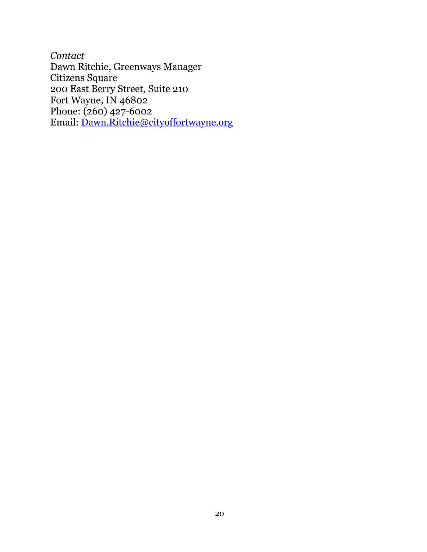*Contact* Dawn Ritchie, Greenways Manager Citizens Square 200 East Berry Street, Suite 210 Fort Wayne, IN 46802 Phone: (260) 427-6002 Email: [Dawn.Ritchie@cityoffortwayne.org](mailto:Dawn.Ritchie@cityoffortwayne.org)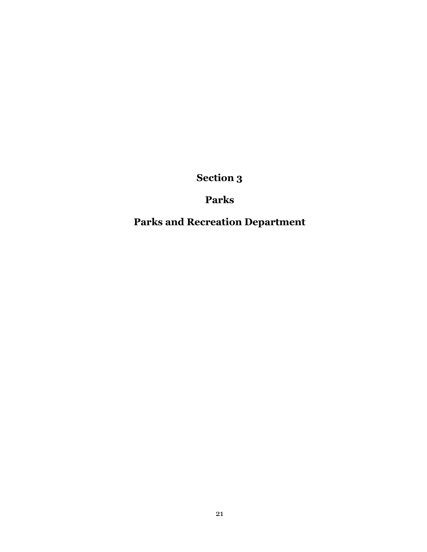**Section 3**

## **Parks**

# **Parks and Recreation Department**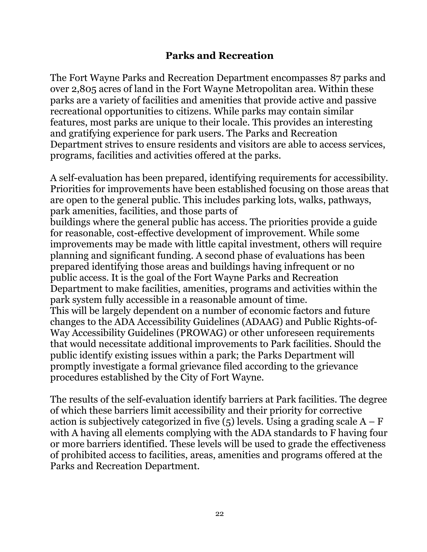#### **Parks and Recreation**

The Fort Wayne Parks and Recreation Department encompasses 87 parks and over 2,805 acres of land in the Fort Wayne Metropolitan area. Within these parks are a variety of facilities and amenities that provide active and passive recreational opportunities to citizens. While parks may contain similar features, most parks are unique to their locale. This provides an interesting and gratifying experience for park users. The Parks and Recreation Department strives to ensure residents and visitors are able to access services, programs, facilities and activities offered at the parks.

A self-evaluation has been prepared, identifying requirements for accessibility. Priorities for improvements have been established focusing on those areas that are open to the general public. This includes parking lots, walks, pathways, park amenities, facilities, and those parts of buildings where the general public has access. The priorities provide a guide for reasonable, cost-effective development of improvement. While some improvements may be made with little capital investment, others will require planning and significant funding. A second phase of evaluations has been prepared identifying those areas and buildings having infrequent or no public access. It is the goal of the Fort Wayne Parks and Recreation Department to make facilities, amenities, programs and activities within the park system fully accessible in a reasonable amount of time. This will be largely dependent on a number of economic factors and future changes to the ADA Accessibility Guidelines (ADAAG) and Public Rights-of-Way Accessibility Guidelines (PROWAG) or other unforeseen requirements that would necessitate additional improvements to Park facilities. Should the public identify existing issues within a park; the Parks Department will promptly investigate a formal grievance filed according to the grievance procedures established by the City of Fort Wayne.

The results of the self-evaluation identify barriers at Park facilities. The degree of which these barriers limit accessibility and their priority for corrective action is subjectively categorized in five  $(5)$  levels. Using a grading scale  $A - F$ with A having all elements complying with the ADA standards to F having four or more barriers identified. These levels will be used to grade the effectiveness of prohibited access to facilities, areas, amenities and programs offered at the Parks and Recreation Department.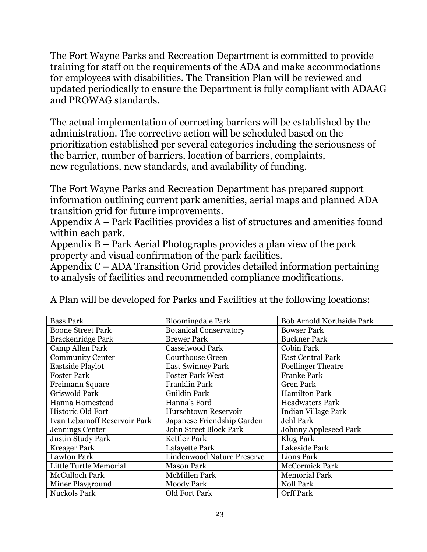The Fort Wayne Parks and Recreation Department is committed to provide training for staff on the requirements of the ADA and make accommodations for employees with disabilities. The Transition Plan will be reviewed and updated periodically to ensure the Department is fully compliant with ADAAG and PROWAG standards.

The actual implementation of correcting barriers will be established by the administration. The corrective action will be scheduled based on the prioritization established per several categories including the seriousness of the barrier, number of barriers, location of barriers, complaints, new regulations, new standards, and availability of funding.

The Fort Wayne Parks and Recreation Department has prepared support information outlining current park amenities, aerial maps and planned ADA transition grid for future improvements.

Appendix A – Park Facilities provides a list of structures and amenities found within each park.

Appendix B – Park Aerial Photographs provides a plan view of the park property and visual confirmation of the park facilities.

Appendix C – ADA Transition Grid provides detailed information pertaining to analysis of facilities and recommended compliance modifications.

| <b>Bass Park</b>                    | <b>Bloomingdale Park</b>      | <b>Bob Arnold Northside Park</b> |
|-------------------------------------|-------------------------------|----------------------------------|
| <b>Boone Street Park</b>            | <b>Botanical Conservatory</b> | <b>Bowser Park</b>               |
| Brackenridge Park                   | <b>Brewer Park</b>            | <b>Buckner Park</b>              |
| Camp Allen Park                     | Casselwood Park               | <b>Cobin Park</b>                |
| <b>Community Center</b>             | <b>Courthouse Green</b>       | <b>East Central Park</b>         |
| <b>Eastside Playlot</b>             | <b>East Swinney Park</b>      | <b>Foellinger Theatre</b>        |
| <b>Foster Park</b>                  | <b>Foster Park West</b>       | <b>Franke Park</b>               |
| Freimann Square                     | Franklin Park                 | <b>Gren Park</b>                 |
| <b>Griswold Park</b>                | Guildin Park                  | Hamilton Park                    |
| Hanna Homestead                     | Hanna's Ford                  | <b>Headwaters Park</b>           |
| Historic Old Fort                   | Hurschtown Reservoir          | <b>Indian Village Park</b>       |
| <b>Ivan Lebamoff Reservoir Park</b> | Japanese Friendship Garden    | Jehl Park                        |
| Jennings Center                     | John Street Block Park        | Johnny Appleseed Park            |
| Justin Study Park                   | <b>Kettler Park</b>           | Klug Park                        |
| <b>Kreager Park</b>                 | Lafayette Park                | Lakeside Park                    |
| <b>Lawton Park</b>                  | Lindenwood Nature Preserve    | <b>Lions Park</b>                |
| Little Turtle Memorial              | <b>Mason Park</b>             | <b>McCormick Park</b>            |
| <b>McCulloch Park</b>               | <b>McMillen Park</b>          | <b>Memorial Park</b>             |
| Miner Playground                    | <b>Moody Park</b>             | <b>Noll Park</b>                 |
| <b>Nuckols Park</b>                 | Old Fort Park                 | <b>Orff Park</b>                 |

A Plan will be developed for Parks and Facilities at the following locations: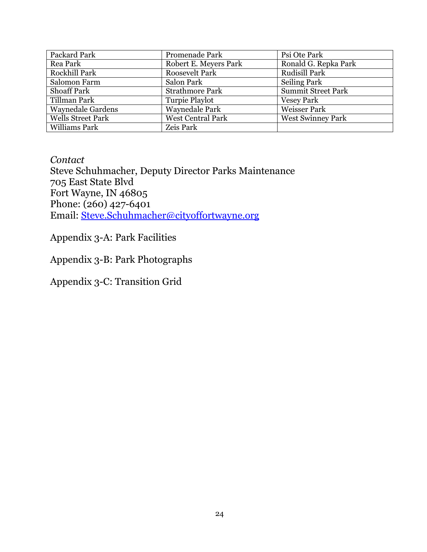| Packard Park             | Promenade Park           | Psi Ote Park              |
|--------------------------|--------------------------|---------------------------|
| Rea Park                 | Robert E. Meyers Park    | Ronald G. Repka Park      |
| Rockhill Park            | <b>Roosevelt Park</b>    | Rudisill Park             |
| Salomon Farm             | Salon Park               | <b>Seiling Park</b>       |
| <b>Shoaff Park</b>       | <b>Strathmore Park</b>   | <b>Summit Street Park</b> |
| Tillman Park             | Turpie Playlot           | <b>Vesey Park</b>         |
| <b>Waynedale Gardens</b> | <b>Waynedale Park</b>    | <b>Weisser Park</b>       |
| <b>Wells Street Park</b> | <b>West Central Park</b> | <b>West Swinney Park</b>  |
| Williams Park            | Zeis Park                |                           |

*Contact* Steve Schuhmacher, Deputy Director Parks Maintenance 705 East State Blvd Fort Wayne, IN 46805 Phone: (260) 427-6401 Email: [Steve.Schuhmacher@cityoffortwayne.org](mailto:Steve.Schuhmacher@cityoffortwayne.org)

Appendix 3-A: Park Facilities

Appendix 3-B: Park Photographs

Appendix 3-C: Transition Grid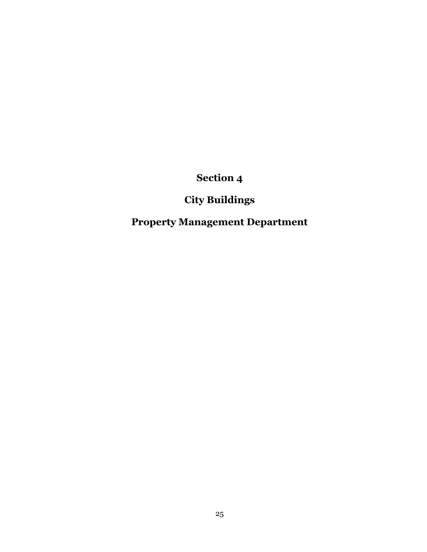**Section 4**

## **City Buildings**

**Property Management Department**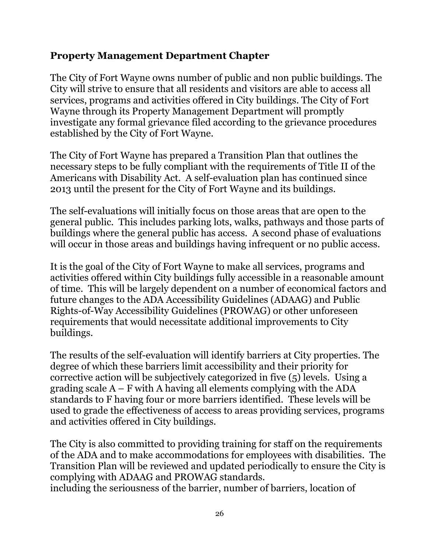### **Property Management Department Chapter**

The City of Fort Wayne owns number of public and non public buildings. The City will strive to ensure that all residents and visitors are able to access all services, programs and activities offered in City buildings. The City of Fort Wayne through its Property Management Department will promptly investigate any formal grievance filed according to the grievance procedures established by the City of Fort Wayne.

The City of Fort Wayne has prepared a Transition Plan that outlines the necessary steps to be fully compliant with the requirements of Title II of the Americans with Disability Act. A self-evaluation plan has continued since 2013 until the present for the City of Fort Wayne and its buildings.

The self-evaluations will initially focus on those areas that are open to the general public. This includes parking lots, walks, pathways and those parts of buildings where the general public has access. A second phase of evaluations will occur in those areas and buildings having infrequent or no public access.

It is the goal of the City of Fort Wayne to make all services, programs and activities offered within City buildings fully accessible in a reasonable amount of time. This will be largely dependent on a number of economical factors and future changes to the ADA Accessibility Guidelines (ADAAG) and Public Rights-of-Way Accessibility Guidelines (PROWAG) or other unforeseen requirements that would necessitate additional improvements to City buildings.

The results of the self-evaluation will identify barriers at City properties. The degree of which these barriers limit accessibility and their priority for corrective action will be subjectively categorized in five (5) levels. Using a grading scale  $A - F$  with A having all elements complying with the ADA standards to F having four or more barriers identified. These levels will be used to grade the effectiveness of access to areas providing services, programs and activities offered in City buildings.

The City is also committed to providing training for staff on the requirements of the ADA and to make accommodations for employees with disabilities. The Transition Plan will be reviewed and updated periodically to ensure the City is complying with ADAAG and PROWAG standards.

including the seriousness of the barrier, number of barriers, location of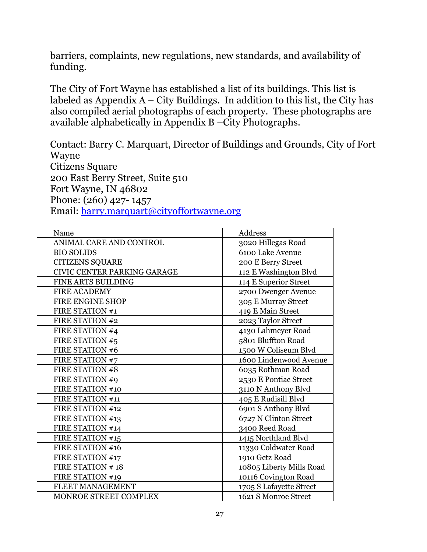barriers, complaints, new regulations, new standards, and availability of funding.

The City of Fort Wayne has established a list of its buildings. This list is labeled as Appendix  $A - City$  Buildings. In addition to this list, the City has also compiled aerial photographs of each property. These photographs are available alphabetically in Appendix B –City Photographs.

Contact: Barry C. Marquart, Director of Buildings and Grounds, City of Fort Wayne Citizens Square 200 East Berry Street, Suite 510 Fort Wayne, IN 46802 Phone: (260) 427- 1457 Email: [barry.marquart@cityoffortwayne.org](mailto:barry.marquart@cityoffortwayne.org)

| Name                               | Address                  |
|------------------------------------|--------------------------|
| ANIMAL CARE AND CONTROL            | 3020 Hillegas Road       |
| <b>BIO SOLIDS</b>                  | 6100 Lake Avenue         |
| <b>CITIZENS SQUARE</b>             | 200 E Berry Street       |
| <b>CIVIC CENTER PARKING GARAGE</b> | 112 E Washington Blvd    |
| FINE ARTS BUILDING                 | 114 E Superior Street    |
| <b>FIRE ACADEMY</b>                | 2700 Dwenger Avenue      |
| FIRE ENGINE SHOP                   | 305 E Murray Street      |
| FIRE STATION #1                    | 419 E Main Street        |
| <b>FIRE STATION #2</b>             | 2023 Taylor Street       |
| FIRE STATION #4                    | 4130 Lahmeyer Road       |
| FIRE STATION #5                    | 5801 Bluffton Road       |
| FIRE STATION #6                    | 1500 W Coliseum Blvd     |
| FIRE STATION #7                    | 1600 Lindenwood Avenue   |
| <b>FIRE STATION #8</b>             | 6035 Rothman Road        |
| FIRE STATION #9                    | 2530 E Pontiac Street    |
| FIRE STATION #10                   | 3110 N Anthony Blvd      |
| FIRE STATION #11                   | 405 E Rudisill Blvd      |
| FIRE STATION #12                   | 6901 S Anthony Blvd      |
| FIRE STATION #13                   | 6727 N Clinton Street    |
| FIRE STATION #14                   | 3400 Reed Road           |
| FIRE STATION #15                   | 1415 Northland Blvd      |
| FIRE STATION #16                   | 11330 Coldwater Road     |
| FIRE STATION #17                   | 1910 Getz Road           |
| FIRE STATION #18                   | 10805 Liberty Mills Road |
| FIRE STATION #19                   | 10116 Covington Road     |
| FLEET MANAGEMENT                   | 1705 S Lafayette Street  |
| MONROE STREET COMPLEX              | 1621 S Monroe Street     |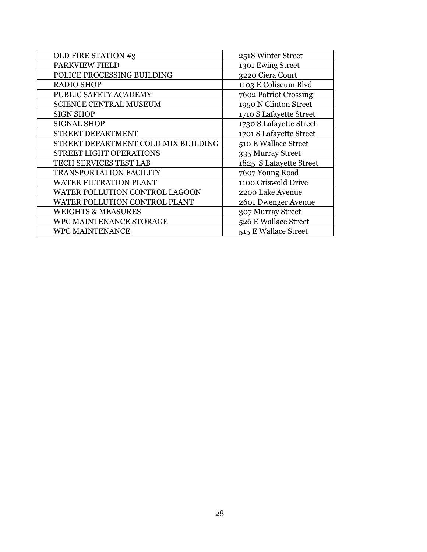| OLD FIRE STATION #3                 | 2518 Winter Street      |
|-------------------------------------|-------------------------|
| <b>PARKVIEW FIELD</b>               | 1301 Ewing Street       |
| POLICE PROCESSING BUILDING          | 3220 Ciera Court        |
| <b>RADIO SHOP</b>                   | 1103 E Coliseum Blvd    |
| PUBLIC SAFETY ACADEMY               | 7602 Patriot Crossing   |
| <b>SCIENCE CENTRAL MUSEUM</b>       | 1950 N Clinton Street   |
| <b>SIGN SHOP</b>                    | 1710 S Lafayette Street |
| <b>SIGNAL SHOP</b>                  | 1730 S Lafayette Street |
| STREET DEPARTMENT                   | 1701 S Lafayette Street |
| STREET DEPARTMENT COLD MIX BUILDING | 510 E Wallace Street    |
| <b>STREET LIGHT OPERATIONS</b>      | 335 Murray Street       |
| TECH SERVICES TEST LAB              | 1825 S Lafayette Street |
| <b>TRANSPORTATION FACILITY</b>      | 7607 Young Road         |
| <b>WATER FILTRATION PLANT</b>       | 1100 Griswold Drive     |
| WATER POLLUTION CONTROL LAGOON      | 2200 Lake Avenue        |
| WATER POLLUTION CONTROL PLANT       | 2601 Dwenger Avenue     |
| <b>WEIGHTS &amp; MEASURES</b>       | 307 Murray Street       |
| WPC MAINTENANCE STORAGE             | 526 E Wallace Street    |
| <b>WPC MAINTENANCE</b>              | 515 E Wallace Street    |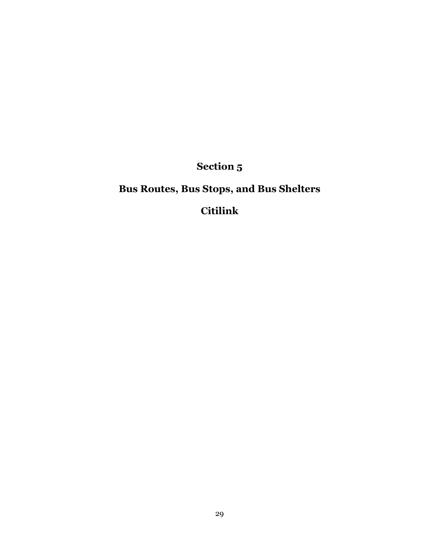**Section 5**

# **Bus Routes, Bus Stops, and Bus Shelters**

**Citilink**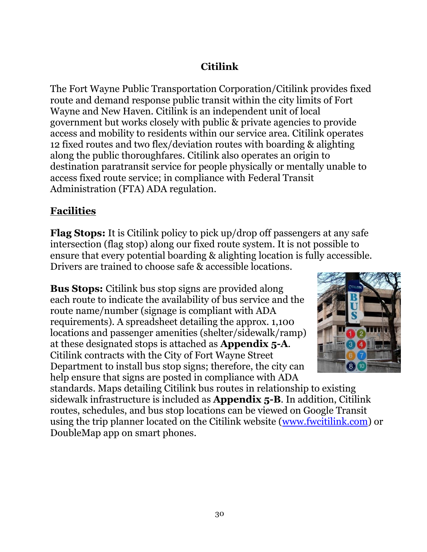## **Citilink**

The Fort Wayne Public Transportation Corporation/Citilink provides fixed route and demand response public transit within the city limits of Fort Wayne and New Haven. Citilink is an independent unit of local government but works closely with public & private agencies to provide access and mobility to residents within our service area. Citilink operates 12 fixed routes and two flex/deviation routes with boarding & alighting along the public thoroughfares. Citilink also operates an origin to destination paratransit service for people physically or mentally unable to access fixed route service; in compliance with Federal Transit Administration (FTA) ADA regulation.

### **Facilities**

**Flag Stops:** It is Citilink policy to pick up/drop off passengers at any safe intersection (flag stop) along our fixed route system. It is not possible to ensure that every potential boarding & alighting location is fully accessible. Drivers are trained to choose safe & accessible locations.

**Bus Stops:** Citilink bus stop signs are provided along each route to indicate the availability of bus service and the route name/number (signage is compliant with ADA requirements). A spreadsheet detailing the approx. 1,100 locations and passenger amenities (shelter/sidewalk/ramp) at these designated stops is attached as **Appendix 5-A**. Citilink contracts with the City of Fort Wayne Street Department to install bus stop signs; therefore, the city can help ensure that signs are posted in compliance with ADA



standards. Maps detailing Citilink bus routes in relationship to existing sidewalk infrastructure is included as **Appendix 5-B**. In addition, Citilink routes, schedules, and bus stop locations can be viewed on Google Transit using the trip planner located on the Citilink website [\(www.fwcitilink.com\)](www.fwcitilink.com) or DoubleMap app on smart phones.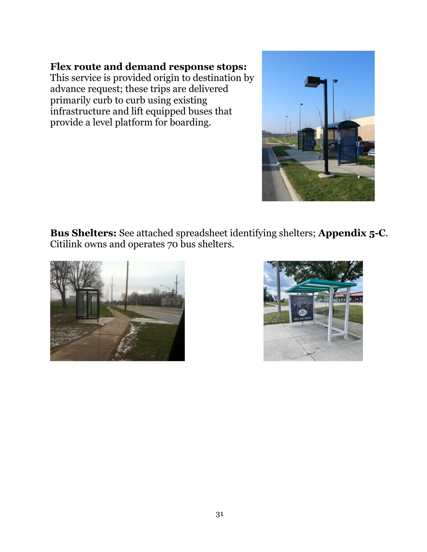## **Flex route and demand response stops:**

This service is provided origin to destination by advance request; these trips are delivered primarily curb to curb using existing infrastructure and lift equipped buses that provide a level platform for boarding.



**Bus Shelters:** See attached spreadsheet identifying shelters; **Appendix 5-C**. Citilink owns and operates 70 bus shelters.



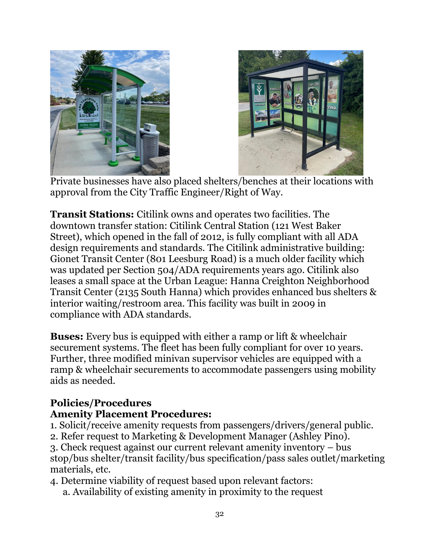



Private businesses have also placed shelters/benches at their locations with approval from the City Traffic Engineer/Right of Way.

**Transit Stations:** Citilink owns and operates two facilities. The downtown transfer station: Citilink Central Station (121 West Baker Street), which opened in the fall of 2012, is fully compliant with all ADA design requirements and standards. The Citilink administrative building: Gionet Transit Center (801 Leesburg Road) is a much older facility which was updated per Section 504/ADA requirements years ago. Citilink also leases a small space at the Urban League: Hanna Creighton Neighborhood Transit Center (2135 South Hanna) which provides enhanced bus shelters & interior waiting/restroom area. This facility was built in 2009 in compliance with ADA standards.

**Buses:** Every bus is equipped with either a ramp or lift & wheelchair securement systems. The fleet has been fully compliant for over 10 years. Further, three modified minivan supervisor vehicles are equipped with a ramp & wheelchair securements to accommodate passengers using mobility aids as needed.

## **Policies/Procedures**

### **Amenity Placement Procedures:**

- 1. Solicit/receive amenity requests from passengers/drivers/general public.
- 2. Refer request to Marketing & Development Manager (Ashley Pino).

3. Check request against our current relevant amenity inventory – bus stop/bus shelter/transit facility/bus specification/pass sales outlet/marketing materials, etc.

- 4. Determine viability of request based upon relevant factors:
	- a. Availability of existing amenity in proximity to the request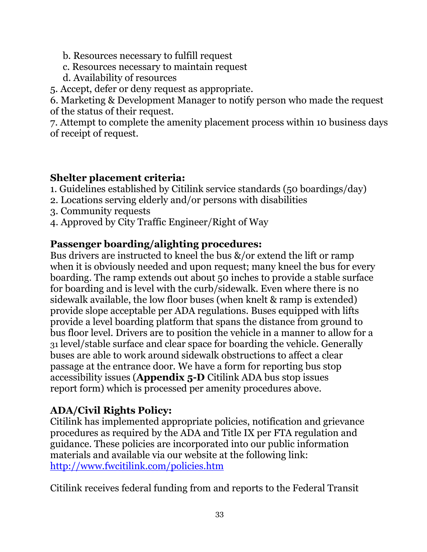b. Resources necessary to fulfill request

- c. Resources necessary to maintain request
- d. Availability of resources

5. Accept, defer or deny request as appropriate.

6. Marketing & Development Manager to notify person who made the request of the status of their request.

7. Attempt to complete the amenity placement process within 10 business days of receipt of request.

## **Shelter placement criteria:**

- 1. Guidelines established by Citilink service standards (50 boardings/day)
- 2. Locations serving elderly and/or persons with disabilities
- 3. Community requests
- 4. Approved by City Traffic Engineer/Right of Way

## **Passenger boarding/alighting procedures:**

Bus drivers are instructed to kneel the bus  $\&/$  or extend the lift or ramp when it is obviously needed and upon request; many kneel the bus for every boarding. The ramp extends out about 50 inches to provide a stable surface for boarding and is level with the curb/sidewalk. Even where there is no sidewalk available, the low floor buses (when knelt & ramp is extended) provide slope acceptable per ADA regulations. Buses equipped with lifts provide a level boarding platform that spans the distance from ground to bus floor level. Drivers are to position the vehicle in a manner to allow for a 31 level/stable surface and clear space for boarding the vehicle. Generally buses are able to work around sidewalk obstructions to affect a clear passage at the entrance door. We have a form for reporting bus stop accessibility issues (**Appendix 5-D** Citilink ADA bus stop issues report form) which is processed per amenity procedures above.

## **ADA/Civil Rights Policy:**

Citilink has implemented appropriate policies, notification and grievance procedures as required by the ADA and Title IX per FTA regulation and guidance. These policies are incorporated into our public information materials and available via our website at the following link: <http://www.fwcitilink.com/policies.htm>

Citilink receives federal funding from and reports to the Federal Transit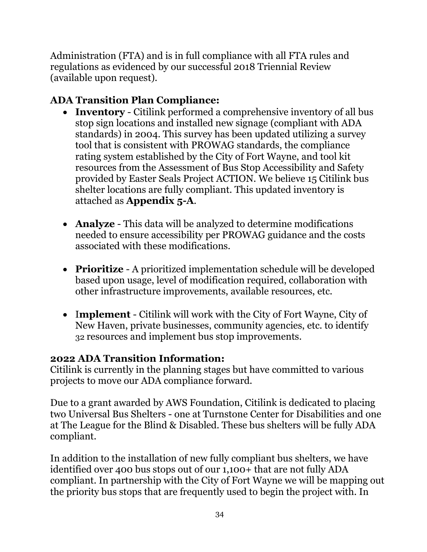Administration (FTA) and is in full compliance with all FTA rules and regulations as evidenced by our successful 2018 Triennial Review (available upon request).

## **ADA Transition Plan Compliance:**

- **Inventory**  Citilink performed a comprehensive inventory of all bus stop sign locations and installed new signage (compliant with ADA standards) in 2004. This survey has been updated utilizing a survey tool that is consistent with PROWAG standards, the compliance rating system established by the City of Fort Wayne, and tool kit resources from the Assessment of Bus Stop Accessibility and Safety provided by Easter Seals Project ACTION. We believe 15 Citilink bus shelter locations are fully compliant. This updated inventory is attached as **Appendix 5-A**.
- **Analyze**  This data will be analyzed to determine modifications needed to ensure accessibility per PROWAG guidance and the costs associated with these modifications.
- **Prioritize**  A prioritized implementation schedule will be developed based upon usage, level of modification required, collaboration with other infrastructure improvements, available resources, etc.
- I**mplement**  Citilink will work with the City of Fort Wayne, City of New Haven, private businesses, community agencies, etc. to identify 32 resources and implement bus stop improvements.

### **2022 ADA Transition Information:**

Citilink is currently in the planning stages but have committed to various projects to move our ADA compliance forward.

Due to a grant awarded by AWS Foundation, Citilink is dedicated to placing two Universal Bus Shelters - one at Turnstone Center for Disabilities and one at The League for the Blind & Disabled. These bus shelters will be fully ADA compliant.

In addition to the installation of new fully compliant bus shelters, we have identified over 400 bus stops out of our 1,100+ that are not fully ADA compliant. In partnership with the City of Fort Wayne we will be mapping out the priority bus stops that are frequently used to begin the project with. In